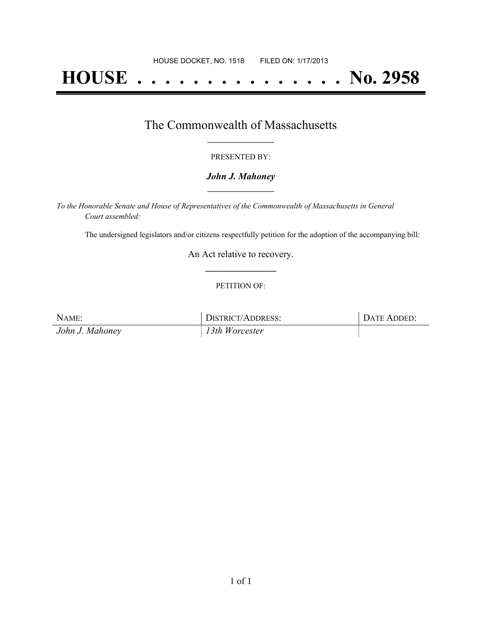# **HOUSE . . . . . . . . . . . . . . . No. 2958**

### The Commonwealth of Massachusetts **\_\_\_\_\_\_\_\_\_\_\_\_\_\_\_\_\_**

#### PRESENTED BY:

#### *John J. Mahoney* **\_\_\_\_\_\_\_\_\_\_\_\_\_\_\_\_\_**

*To the Honorable Senate and House of Representatives of the Commonwealth of Massachusetts in General Court assembled:*

The undersigned legislators and/or citizens respectfully petition for the adoption of the accompanying bill:

An Act relative to recovery. **\_\_\_\_\_\_\_\_\_\_\_\_\_\_\_**

#### PETITION OF:

| NAME:           | DISTRICT/ADDRESS: | DATE ADDED: |
|-----------------|-------------------|-------------|
| John J. Mahoney | 13th Worcester    |             |